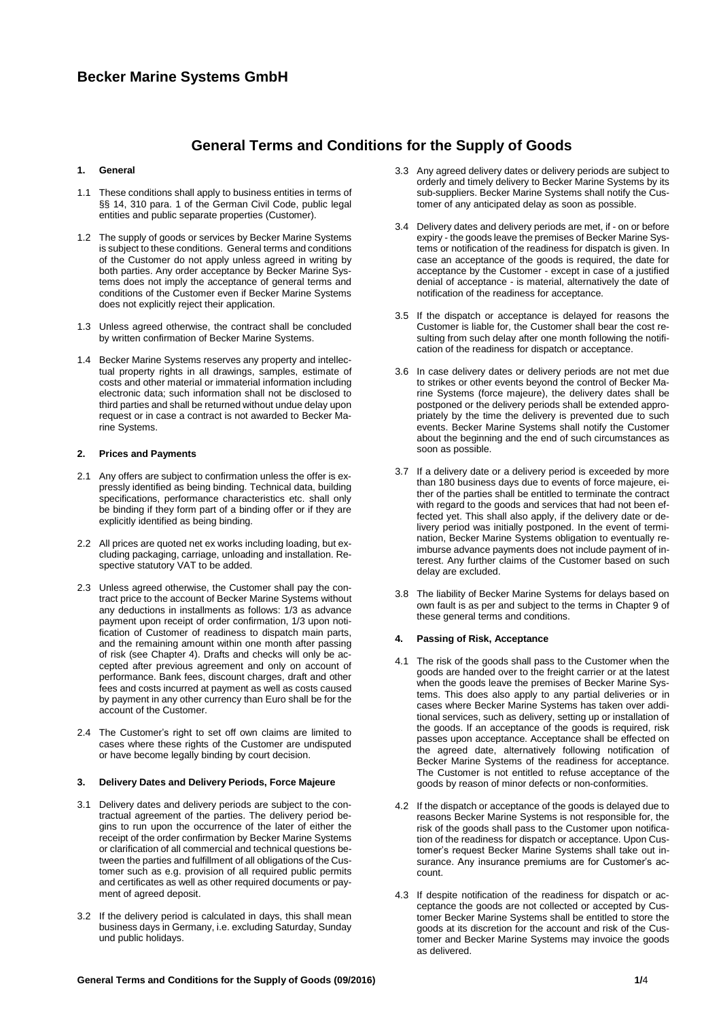# **General Terms and Conditions for the Supply of Goods**

## **1. General**

- 1.1 These conditions shall apply to business entities in terms of §§ 14, 310 para. 1 of the German Civil Code, public legal entities and public separate properties (Customer).
- 1.2 The supply of goods or services by Becker Marine Systems is subject to these conditions. General terms and conditions of the Customer do not apply unless agreed in writing by both parties. Any order acceptance by Becker Marine Systems does not imply the acceptance of general terms and conditions of the Customer even if Becker Marine Systems does not explicitly reject their application.
- 1.3 Unless agreed otherwise, the contract shall be concluded by written confirmation of Becker Marine Systems.
- 1.4 Becker Marine Systems reserves any property and intellectual property rights in all drawings, samples, estimate of costs and other material or immaterial information including electronic data; such information shall not be disclosed to third parties and shall be returned without undue delay upon request or in case a contract is not awarded to Becker Marine Systems.

## **2. Prices and Payments**

- 2.1 Any offers are subject to confirmation unless the offer is expressly identified as being binding. Technical data, building specifications, performance characteristics etc. shall only be binding if they form part of a binding offer or if they are explicitly identified as being binding.
- 2.2 All prices are quoted net ex works including loading, but excluding packaging, carriage, unloading and installation. Respective statutory VAT to be added.
- 2.3 Unless agreed otherwise, the Customer shall pay the contract price to the account of Becker Marine Systems without any deductions in installments as follows: 1/3 as advance payment upon receipt of order confirmation, 1/3 upon notification of Customer of readiness to dispatch main parts, and the remaining amount within one month after passing of risk (see Chapter 4). Drafts and checks will only be accepted after previous agreement and only on account of performance. Bank fees, discount charges, draft and other fees and costs incurred at payment as well as costs caused by payment in any other currency than Euro shall be for the account of the Customer.
- 2.4 The Customer's right to set off own claims are limited to cases where these rights of the Customer are undisputed or have become legally binding by court decision.

## **3. Delivery Dates and Delivery Periods, Force Majeure**

- 3.1 Delivery dates and delivery periods are subject to the contractual agreement of the parties. The delivery period begins to run upon the occurrence of the later of either the receipt of the order confirmation by Becker Marine Systems or clarification of all commercial and technical questions between the parties and fulfillment of all obligations of the Customer such as e.g. provision of all required public permits and certificates as well as other required documents or payment of agreed deposit.
- 3.2 If the delivery period is calculated in days, this shall mean business days in Germany, i.e. excluding Saturday, Sunday und public holidays.
- 3.3 Any agreed delivery dates or delivery periods are subject to orderly and timely delivery to Becker Marine Systems by its sub-suppliers. Becker Marine Systems shall notify the Customer of any anticipated delay as soon as possible.
- 3.4 Delivery dates and delivery periods are met, if on or before expiry - the goods leave the premises of Becker Marine Systems or notification of the readiness for dispatch is given. In case an acceptance of the goods is required, the date for acceptance by the Customer - except in case of a justified denial of acceptance - is material, alternatively the date of notification of the readiness for acceptance.
- 3.5 If the dispatch or acceptance is delayed for reasons the Customer is liable for, the Customer shall bear the cost resulting from such delay after one month following the notification of the readiness for dispatch or acceptance.
- 3.6 In case delivery dates or delivery periods are not met due to strikes or other events beyond the control of Becker Marine Systems (force majeure), the delivery dates shall be postponed or the delivery periods shall be extended appropriately by the time the delivery is prevented due to such events. Becker Marine Systems shall notify the Customer about the beginning and the end of such circumstances as soon as possible.
- 3.7 If a delivery date or a delivery period is exceeded by more than 180 business days due to events of force majeure, either of the parties shall be entitled to terminate the contract with regard to the goods and services that had not been effected yet. This shall also apply, if the delivery date or delivery period was initially postponed. In the event of termination, Becker Marine Systems obligation to eventually reimburse advance payments does not include payment of interest. Any further claims of the Customer based on such delay are excluded.
- 3.8 The liability of Becker Marine Systems for delays based on own fault is as per and subject to the terms in Chapter 9 of these general terms and conditions.

## **4. Passing of Risk, Acceptance**

- 4.1 The risk of the goods shall pass to the Customer when the goods are handed over to the freight carrier or at the latest when the goods leave the premises of Becker Marine Systems. This does also apply to any partial deliveries or in cases where Becker Marine Systems has taken over additional services, such as delivery, setting up or installation of the goods. If an acceptance of the goods is required, risk passes upon acceptance. Acceptance shall be effected on the agreed date, alternatively following notification of Becker Marine Systems of the readiness for acceptance. The Customer is not entitled to refuse acceptance of the goods by reason of minor defects or non-conformities.
- 4.2 If the dispatch or acceptance of the goods is delayed due to reasons Becker Marine Systems is not responsible for, the risk of the goods shall pass to the Customer upon notification of the readiness for dispatch or acceptance. Upon Customer's request Becker Marine Systems shall take out insurance. Any insurance premiums are for Customer's account.
- 4.3 If despite notification of the readiness for dispatch or acceptance the goods are not collected or accepted by Customer Becker Marine Systems shall be entitled to store the goods at its discretion for the account and risk of the Customer and Becker Marine Systems may invoice the goods as delivered.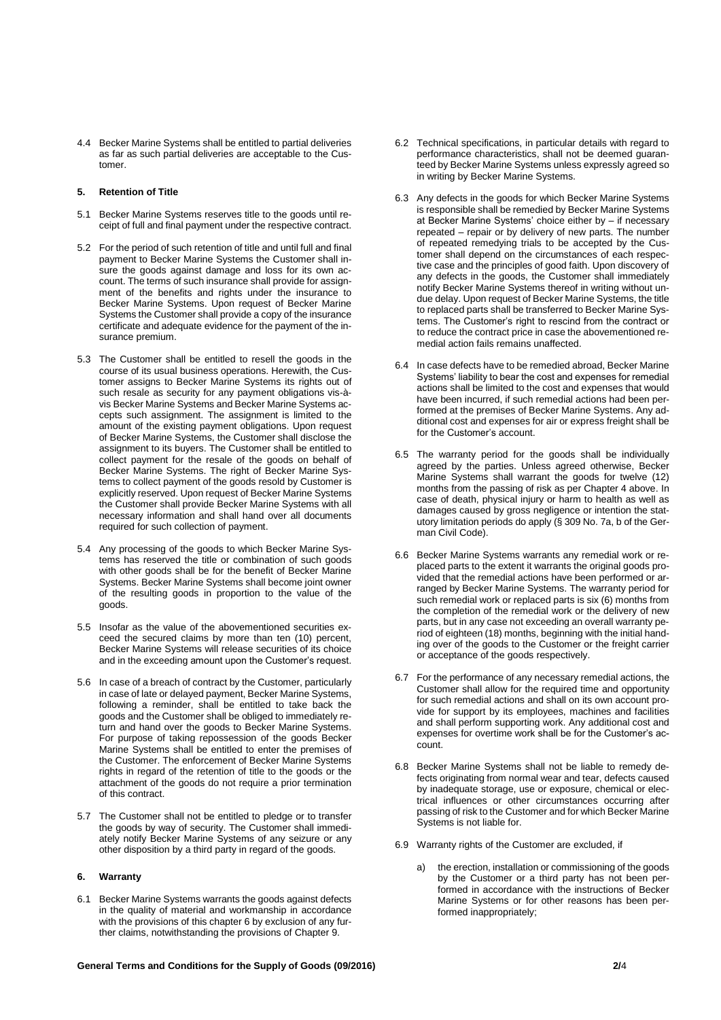4.4 Becker Marine Systems shall be entitled to partial deliveries as far as such partial deliveries are acceptable to the Customer.

### **5. Retention of Title**

- 5.1 Becker Marine Systems reserves title to the goods until receipt of full and final payment under the respective contract.
- 5.2 For the period of such retention of title and until full and final payment to Becker Marine Systems the Customer shall insure the goods against damage and loss for its own account. The terms of such insurance shall provide for assignment of the benefits and rights under the insurance to Becker Marine Systems. Upon request of Becker Marine Systems the Customer shall provide a copy of the insurance certificate and adequate evidence for the payment of the insurance premium.
- 5.3 The Customer shall be entitled to resell the goods in the course of its usual business operations. Herewith, the Customer assigns to Becker Marine Systems its rights out of such resale as security for any payment obligations vis-àvis Becker Marine Systems and Becker Marine Systems accepts such assignment. The assignment is limited to the amount of the existing payment obligations. Upon request of Becker Marine Systems, the Customer shall disclose the assignment to its buyers. The Customer shall be entitled to collect payment for the resale of the goods on behalf of Becker Marine Systems. The right of Becker Marine Systems to collect payment of the goods resold by Customer is explicitly reserved. Upon request of Becker Marine Systems the Customer shall provide Becker Marine Systems with all necessary information and shall hand over all documents required for such collection of payment.
- 5.4 Any processing of the goods to which Becker Marine Systems has reserved the title or combination of such goods with other goods shall be for the benefit of Becker Marine Systems. Becker Marine Systems shall become joint owner of the resulting goods in proportion to the value of the goods.
- 5.5 Insofar as the value of the abovementioned securities exceed the secured claims by more than ten (10) percent, Becker Marine Systems will release securities of its choice and in the exceeding amount upon the Customer's request.
- 5.6 In case of a breach of contract by the Customer, particularly in case of late or delayed payment, Becker Marine Systems, following a reminder, shall be entitled to take back the goods and the Customer shall be obliged to immediately return and hand over the goods to Becker Marine Systems. For purpose of taking repossession of the goods Becker Marine Systems shall be entitled to enter the premises of the Customer. The enforcement of Becker Marine Systems rights in regard of the retention of title to the goods or the attachment of the goods do not require a prior termination of this contract.
- 5.7 The Customer shall not be entitled to pledge or to transfer the goods by way of security. The Customer shall immediately notify Becker Marine Systems of any seizure or any other disposition by a third party in regard of the goods.

## **6. Warranty**

6.1 Becker Marine Systems warrants the goods against defects in the quality of material and workmanship in accordance with the provisions of this chapter 6 by exclusion of any further claims, notwithstanding the provisions of Chapter 9.

- 6.2 Technical specifications, in particular details with regard to performance characteristics, shall not be deemed guaranteed by Becker Marine Systems unless expressly agreed so in writing by Becker Marine Systems.
- 6.3 Any defects in the goods for which Becker Marine Systems is responsible shall be remedied by Becker Marine Systems at Becker Marine Systems' choice either by – if necessary repeated – repair or by delivery of new parts. The number of repeated remedying trials to be accepted by the Customer shall depend on the circumstances of each respective case and the principles of good faith. Upon discovery of any defects in the goods, the Customer shall immediately notify Becker Marine Systems thereof in writing without undue delay. Upon request of Becker Marine Systems, the title to replaced parts shall be transferred to Becker Marine Systems. The Customer's right to rescind from the contract or to reduce the contract price in case the abovementioned remedial action fails remains unaffected.
- 6.4 In case defects have to be remedied abroad, Becker Marine Systems' liability to bear the cost and expenses for remedial actions shall be limited to the cost and expenses that would have been incurred, if such remedial actions had been performed at the premises of Becker Marine Systems. Any additional cost and expenses for air or express freight shall be for the Customer's account.
- 6.5 The warranty period for the goods shall be individually agreed by the parties. Unless agreed otherwise, Becker Marine Systems shall warrant the goods for twelve (12) months from the passing of risk as per Chapter 4 above. In case of death, physical injury or harm to health as well as damages caused by gross negligence or intention the statutory limitation periods do apply (§ 309 No. 7a, b of the German Civil Code).
- 6.6 Becker Marine Systems warrants any remedial work or replaced parts to the extent it warrants the original goods provided that the remedial actions have been performed or arranged by Becker Marine Systems. The warranty period for such remedial work or replaced parts is six (6) months from the completion of the remedial work or the delivery of new parts, but in any case not exceeding an overall warranty period of eighteen (18) months, beginning with the initial handing over of the goods to the Customer or the freight carrier or acceptance of the goods respectively.
- 6.7 For the performance of any necessary remedial actions, the Customer shall allow for the required time and opportunity for such remedial actions and shall on its own account provide for support by its employees, machines and facilities and shall perform supporting work. Any additional cost and expenses for overtime work shall be for the Customer's account.
- 6.8 Becker Marine Systems shall not be liable to remedy defects originating from normal wear and tear, defects caused by inadequate storage, use or exposure, chemical or electrical influences or other circumstances occurring after passing of risk to the Customer and for which Becker Marine Systems is not liable for.
- 6.9 Warranty rights of the Customer are excluded, if
	- the erection, installation or commissioning of the goods by the Customer or a third party has not been performed in accordance with the instructions of Becker Marine Systems or for other reasons has been performed inappropriately;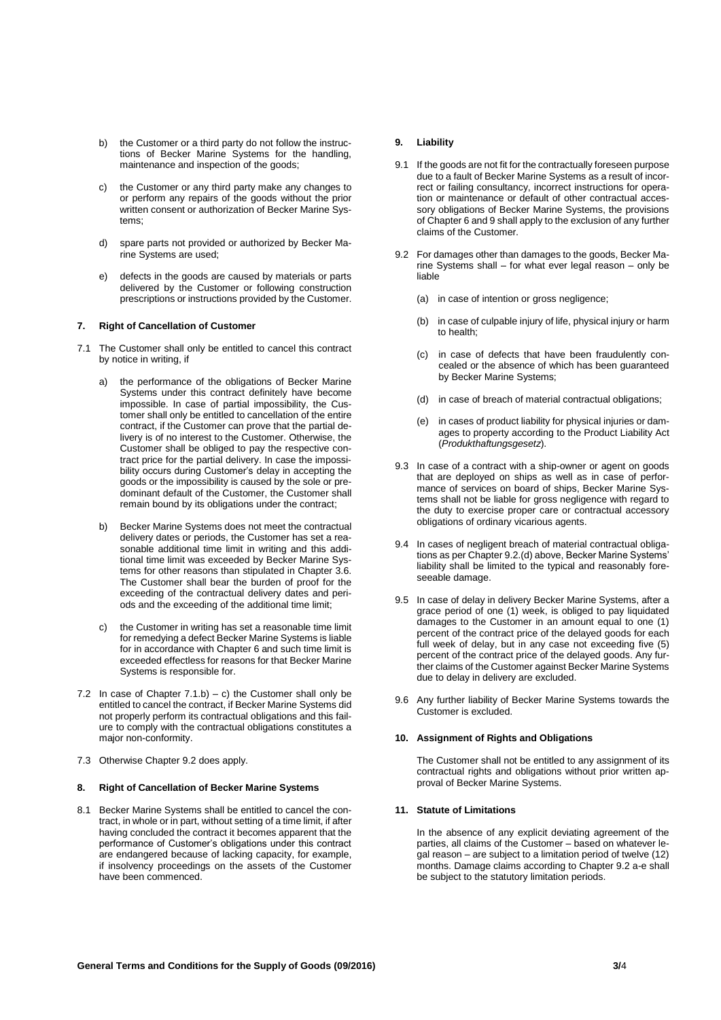- b) the Customer or a third party do not follow the instructions of Becker Marine Systems for the handling, maintenance and inspection of the goods;
- c) the Customer or any third party make any changes to or perform any repairs of the goods without the prior written consent or authorization of Becker Marine Systems;
- d) spare parts not provided or authorized by Becker Marine Systems are used;
- e) defects in the goods are caused by materials or parts delivered by the Customer or following construction prescriptions or instructions provided by the Customer.

## **7. Right of Cancellation of Customer**

- 7.1 The Customer shall only be entitled to cancel this contract by notice in writing, if
	- a) the performance of the obligations of Becker Marine Systems under this contract definitely have become impossible. In case of partial impossibility, the Customer shall only be entitled to cancellation of the entire contract, if the Customer can prove that the partial delivery is of no interest to the Customer. Otherwise, the Customer shall be obliged to pay the respective contract price for the partial delivery. In case the impossibility occurs during Customer's delay in accepting the goods or the impossibility is caused by the sole or predominant default of the Customer, the Customer shall remain bound by its obligations under the contract;
	- b) Becker Marine Systems does not meet the contractual delivery dates or periods, the Customer has set a reasonable additional time limit in writing and this additional time limit was exceeded by Becker Marine Systems for other reasons than stipulated in Chapter 3.6. The Customer shall bear the burden of proof for the exceeding of the contractual delivery dates and periods and the exceeding of the additional time limit;
	- c) the Customer in writing has set a reasonable time limit for remedying a defect Becker Marine Systems is liable for in accordance with Chapter 6 and such time limit is exceeded effectless for reasons for that Becker Marine Systems is responsible for.
- 7.2 In case of Chapter  $7.1 \text{ b}$  c) the Customer shall only be entitled to cancel the contract, if Becker Marine Systems did not properly perform its contractual obligations and this failure to comply with the contractual obligations constitutes a major non-conformity.
- 7.3 Otherwise Chapter 9.2 does apply.

#### **8. Right of Cancellation of Becker Marine Systems**

8.1 Becker Marine Systems shall be entitled to cancel the contract, in whole or in part, without setting of a time limit, if after having concluded the contract it becomes apparent that the performance of Customer's obligations under this contract are endangered because of lacking capacity, for example, if insolvency proceedings on the assets of the Customer have been commenced.

## **9. Liability**

- 9.1 If the goods are not fit for the contractually foreseen purpose due to a fault of Becker Marine Systems as a result of incorrect or failing consultancy, incorrect instructions for operation or maintenance or default of other contractual accessory obligations of Becker Marine Systems, the provisions of Chapter 6 and 9 shall apply to the exclusion of any further claims of the Customer.
- 9.2 For damages other than damages to the goods, Becker Marine Systems shall – for what ever legal reason – only be liable
	- (a) in case of intention or gross negligence;
	- (b) in case of culpable injury of life, physical injury or harm to health;
	- (c) in case of defects that have been fraudulently concealed or the absence of which has been guaranteed by Becker Marine Systems;
	- (d) in case of breach of material contractual obligations;
	- (e) in cases of product liability for physical injuries or damages to property according to the Product Liability Act (*Produkthaftungsgesetz*).
- 9.3 In case of a contract with a ship-owner or agent on goods that are deployed on ships as well as in case of performance of services on board of ships, Becker Marine Systems shall not be liable for gross negligence with regard to the duty to exercise proper care or contractual accessory obligations of ordinary vicarious agents.
- 9.4 In cases of negligent breach of material contractual obligations as per Chapter 9.2.(d) above, Becker Marine Systems' liability shall be limited to the typical and reasonably foreseeable damage.
- 9.5 In case of delay in delivery Becker Marine Systems, after a grace period of one (1) week, is obliged to pay liquidated damages to the Customer in an amount equal to one (1) percent of the contract price of the delayed goods for each full week of delay, but in any case not exceeding five (5) percent of the contract price of the delayed goods. Any further claims of the Customer against Becker Marine Systems due to delay in delivery are excluded.
- 9.6 Any further liability of Becker Marine Systems towards the Customer is excluded.

## **10. Assignment of Rights and Obligations**

The Customer shall not be entitled to any assignment of its contractual rights and obligations without prior written approval of Becker Marine Systems.

## **11. Statute of Limitations**

In the absence of any explicit deviating agreement of the parties, all claims of the Customer – based on whatever legal reason – are subject to a limitation period of twelve (12) months. Damage claims according to Chapter 9.2 a-e shall be subject to the statutory limitation periods.